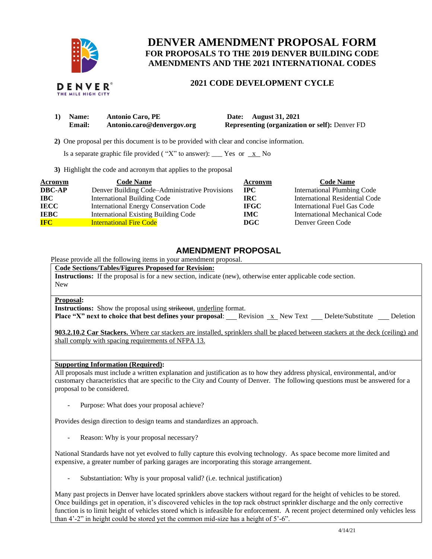

# **DENVER AMENDMENT PROPOSAL FORM FOR PROPOSALS TO THE 2019 DENVER BUILDING CODE AMENDMENTS AND THE 2021 INTERNATIONAL CODES**

### **2021 CODE DEVELOPMENT CYCLE**

| 1) Name: | <b>Antonio Caro, PE</b>    | Date: August 31, 2021                                 |
|----------|----------------------------|-------------------------------------------------------|
| Email:   | Antonio.caro@denvergov.org | <b>Representing (organization or self):</b> Denver FD |

 **2)** One proposal per this document is to be provided with clear and concise information.

Is a separate graphic file provided ("X" to answer): \_\_\_ Yes or  $\overline{x}$  No

**3)** Highlight the code and acronym that applies to the proposal

| Acronym       | <b>Code Name</b>                               | Acronym      | <b>Code Name</b>                   |
|---------------|------------------------------------------------|--------------|------------------------------------|
| <b>DBC-AP</b> | Denver Building Code–Administrative Provisions | $_{\rm IPC}$ | <b>International Plumbing Code</b> |
| IBC           | <b>International Building Code</b>             | <b>IRC</b>   | International Residential Code     |
| <b>IECC</b>   | <b>International Energy Conservation Code</b>  | <b>IFGC</b>  | International Fuel Gas Code        |
| <b>IEBC</b>   | <b>International Existing Building Code</b>    | <b>IMC</b>   | International Mechanical Code      |
| <b>IFC</b>    | <b>International Fire Code</b>                 | DGC          | Denver Green Code                  |

## **AMENDMENT PROPOSAL**

Please provide all the following items in your amendment proposal.

**Code Sections/Tables/Figures Proposed for Revision: Instructions:** If the proposal is for a new section, indicate (new), otherwise enter applicable code section. New

#### **Proposal:**

**Instructions:** Show the proposal using strikeout, underline format. **Place "X" next to choice that best defines your proposal:** Revision x New Text Delete/Substitute Deletion

**903.2.10.2 Car Stackers.** Where car stackers are installed, sprinklers shall be placed between stackers at the deck (ceiling) and shall comply with spacing requirements of NFPA 13.

#### **Supporting Information (Required):**

All proposals must include a written explanation and justification as to how they address physical, environmental, and/or customary characteristics that are specific to the City and County of Denver. The following questions must be answered for a proposal to be considered.

Purpose: What does your proposal achieve?

Provides design direction to design teams and standardizes an approach.

Reason: Why is your proposal necessary?

National Standards have not yet evolved to fully capture this evolving technology. As space become more limited and expensive, a greater number of parking garages are incorporating this storage arrangement.

Substantiation: Why is your proposal valid? (i.e. technical justification)

Many past projects in Denver have located sprinklers above stackers without regard for the height of vehicles to be stored. Once buildings get in operation, it's discovered vehicles in the top rack obstruct sprinkler discharge and the only corrective function is to limit height of vehicles stored which is infeasible for enforcement. A recent project determined only vehicles less than 4'-2" in height could be stored yet the common mid-size has a height of 5'-6".